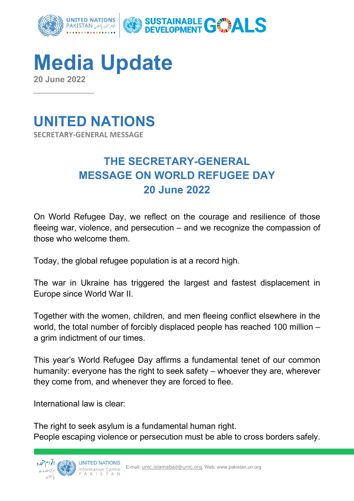

**Media Update 20 June 2022**



 $\overline{\phantom{a}}$ 

## **THE SECRETARY-GENERAL MESSAGE ON WORLD REFUGEE DAY 20 June 2022**

On World Refugee Day, we reflect on the courage and resilience of those fleeing war, violence, and persecution – and we recognize the compassion of those who welcome them.

Today, the global refugee population is at a record high.

The war in Ukraine has triggered the largest and fastest displacement in Europe since World War II.

Together with the women, children, and men fleeing conflict elsewhere in the world, the total number of forcibly displaced people has reached 100 million – a grim indictment of our times.

This year's World Refugee Day affirms a fundamental tenet of our common humanity: everyone has the right to seek safety – whoever they are, wherever they come from, and whenever they are forced to flee.

International law is clear:

The right to seek asylum is a fundamental human right. People escaping violence or persecution must be able to cross borders safely.